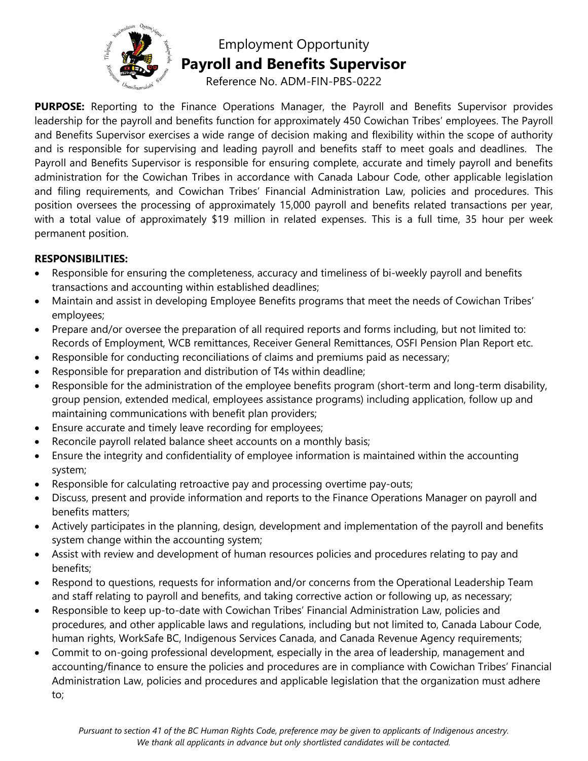

# Employment Opportunity **Payroll and Benefits Supervisor**

Reference No. ADM-FIN-PBS-0222

**PURPOSE:** Reporting to the Finance Operations Manager, the Payroll and Benefits Supervisor provides leadership for the payroll and benefits function for approximately 450 Cowichan Tribes' employees. The Payroll and Benefits Supervisor exercises a wide range of decision making and flexibility within the scope of authority and is responsible for supervising and leading payroll and benefits staff to meet goals and deadlines. The Payroll and Benefits Supervisor is responsible for ensuring complete, accurate and timely payroll and benefits administration for the Cowichan Tribes in accordance with Canada Labour Code, other applicable legislation and filing requirements, and Cowichan Tribes' Financial Administration Law, policies and procedures. This position oversees the processing of approximately 15,000 payroll and benefits related transactions per year, with a total value of approximately \$19 million in related expenses. This is a full time, 35 hour per week permanent position.

#### **RESPONSIBILITIES:**

- Responsible for ensuring the completeness, accuracy and timeliness of bi-weekly payroll and benefits transactions and accounting within established deadlines;
- Maintain and assist in developing Employee Benefits programs that meet the needs of Cowichan Tribes' employees;
- Prepare and/or oversee the preparation of all required reports and forms including, but not limited to: Records of Employment, WCB remittances, Receiver General Remittances, OSFI Pension Plan Report etc.
- Responsible for conducting reconciliations of claims and premiums paid as necessary;
- Responsible for preparation and distribution of T4s within deadline;
- Responsible for the administration of the employee benefits program (short-term and long-term disability, group pension, extended medical, employees assistance programs) including application, follow up and maintaining communications with benefit plan providers;
- Ensure accurate and timely leave recording for employees;
- Reconcile payroll related balance sheet accounts on a monthly basis;
- Ensure the integrity and confidentiality of employee information is maintained within the accounting system;
- Responsible for calculating retroactive pay and processing overtime pay-outs;
- Discuss, present and provide information and reports to the Finance Operations Manager on payroll and benefits matters;
- Actively participates in the planning, design, development and implementation of the payroll and benefits system change within the accounting system;
- Assist with review and development of human resources policies and procedures relating to pay and benefits;
- Respond to questions, requests for information and/or concerns from the Operational Leadership Team and staff relating to payroll and benefits, and taking corrective action or following up, as necessary;
- Responsible to keep up-to-date with Cowichan Tribes' Financial Administration Law, policies and procedures, and other applicable laws and regulations, including but not limited to, Canada Labour Code, human rights, WorkSafe BC, Indigenous Services Canada, and Canada Revenue Agency requirements;
- Commit to on-going professional development, especially in the area of leadership, management and accounting/finance to ensure the policies and procedures are in compliance with Cowichan Tribes' Financial Administration Law, policies and procedures and applicable legislation that the organization must adhere to;